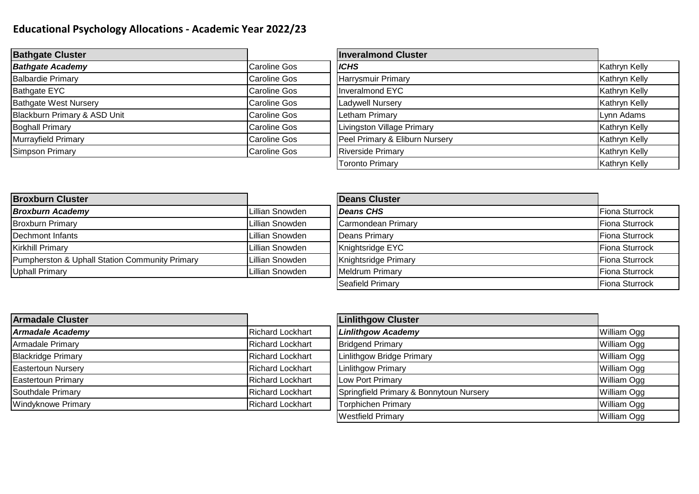## **Educational Psychology Allocations - Academic Year 2022/23**

| <b>Bathgate Cluster</b>      |              | <b>Inveralmond Cluster</b>     |               |
|------------------------------|--------------|--------------------------------|---------------|
| <b>Bathgate Academy</b>      | Caroline Gos | <b>ICHS</b>                    | Kathryn Kelly |
| <b>Balbardie Primary</b>     | Caroline Gos | Harrysmuir Primary             | Kathryn Kelly |
| Bathgate EYC                 | Caroline Gos | Inveralmond EYC                | Kathryn Kelly |
| <b>Bathgate West Nursery</b> | Caroline Gos | <b>Ladywell Nursery</b>        | Kathryn Kelly |
| Blackburn Primary & ASD Unit | Caroline Gos | <b>Letham Primary</b>          | Lynn Adams    |
| <b>Boghall Primary</b>       | Caroline Gos | Livingston Village Primary     | Kathryn Kelly |
| Murrayfield Primary          | Caroline Gos | Peel Primary & Eliburn Nursery | Kathryn Kelly |
| <b>Simpson Primary</b>       | Caroline Gos | <b>Riverside Primary</b>       | Kathryn Kelly |
|                              |              | <b>Toronto Primary</b>         | Kathryn Kelly |

| <b>Broxburn Cluster</b>                        |                 | <b>Deans Cluster</b>    |                |
|------------------------------------------------|-----------------|-------------------------|----------------|
| <b>Broxburn Academy</b>                        | Lillian Snowden | <b>Deans CHS</b>        | Fiona Sturrock |
| <b>Broxburn Primary</b>                        | Lillian Snowden | Carmondean Primary      | Fiona Sturrock |
| Dechmont Infants                               | Lillian Snowden | <b>Deans Primary</b>    | Fiona Sturrock |
| <b>Kirkhill Primary</b>                        | Lillian Snowden | Knightsridge EYC        | Fiona Sturrock |
| Pumpherston & Uphall Station Community Primary | Lillian Snowden | Knightsridge Primary    | Fiona Sturrock |
| <b>Uphall Primary</b>                          | Lillian Snowden | <b>Meldrum Primary</b>  | Fiona Sturrock |
|                                                |                 | <b>Seafield Primary</b> | Fiona Sturrock |

| <b>Armadale Cluster</b>   |                         | <b>Linlithgow Cluster</b>               |                    |
|---------------------------|-------------------------|-----------------------------------------|--------------------|
| <b>Armadale Academy</b>   | <b>Richard Lockhart</b> | <b>Linlithgow Academy</b>               | William Ogg        |
| Armadale Primary          | <b>Richard Lockhart</b> | <b>Bridgend Primary</b>                 | William Ogg        |
| <b>Blackridge Primary</b> | <b>Richard Lockhart</b> | <b>Linlithgow Bridge Primary</b>        | <b>William Ogg</b> |
| <b>Eastertoun Nursery</b> | <b>Richard Lockhart</b> | <b>Linlithgow Primary</b>               | William Ogg        |
| <b>Eastertoun Primary</b> | <b>Richard Lockhart</b> | Low Port Primary                        | William Ogg        |
| Southdale Primary         | Richard Lockhart        | Springfield Primary & Bonnytoun Nursery | William Ogg        |
| <b>Windyknowe Primary</b> | <b>Richard Lockhart</b> | <b>Torphichen Primary</b>               | <b>William Ogg</b> |
|                           |                         | <b>Westfield Primary</b>                | William Ogg        |